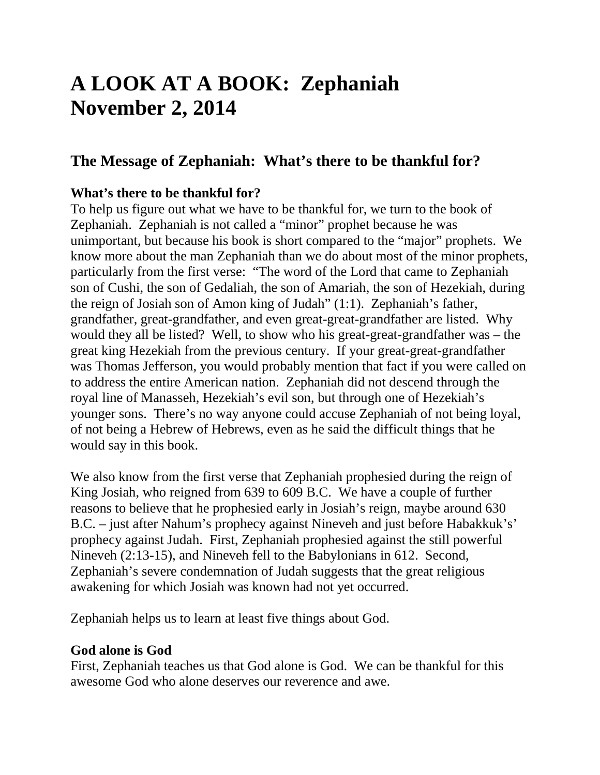# **A LOOK AT A BOOK: Zephaniah November 2, 2014**

## **The Message of Zephaniah: What's there to be thankful for?**

#### **What's there to be thankful for?**

To help us figure out what we have to be thankful for, we turn to the book of Zephaniah. Zephaniah is not called a "minor" prophet because he was unimportant, but because his book is short compared to the "major" prophets. We know more about the man Zephaniah than we do about most of the minor prophets, particularly from the first verse: "The word of the Lord that came to Zephaniah son of Cushi, the son of Gedaliah, the son of Amariah, the son of Hezekiah, during the reign of Josiah son of Amon king of Judah" (1:1). Zephaniah's father, grandfather, great-grandfather, and even great-great-grandfather are listed. Why would they all be listed? Well, to show who his great-great-grandfather was – the great king Hezekiah from the previous century. If your great-great-grandfather was Thomas Jefferson, you would probably mention that fact if you were called on to address the entire American nation. Zephaniah did not descend through the royal line of Manasseh, Hezekiah's evil son, but through one of Hezekiah's younger sons. There's no way anyone could accuse Zephaniah of not being loyal, of not being a Hebrew of Hebrews, even as he said the difficult things that he would say in this book.

We also know from the first verse that Zephaniah prophesied during the reign of King Josiah, who reigned from 639 to 609 B.C. We have a couple of further reasons to believe that he prophesied early in Josiah's reign, maybe around 630 B.C. – just after Nahum's prophecy against Nineveh and just before Habakkuk's' prophecy against Judah. First, Zephaniah prophesied against the still powerful Nineveh (2:13-15), and Nineveh fell to the Babylonians in 612. Second, Zephaniah's severe condemnation of Judah suggests that the great religious awakening for which Josiah was known had not yet occurred.

Zephaniah helps us to learn at least five things about God.

#### **God alone is God**

First, Zephaniah teaches us that God alone is God. We can be thankful for this awesome God who alone deserves our reverence and awe.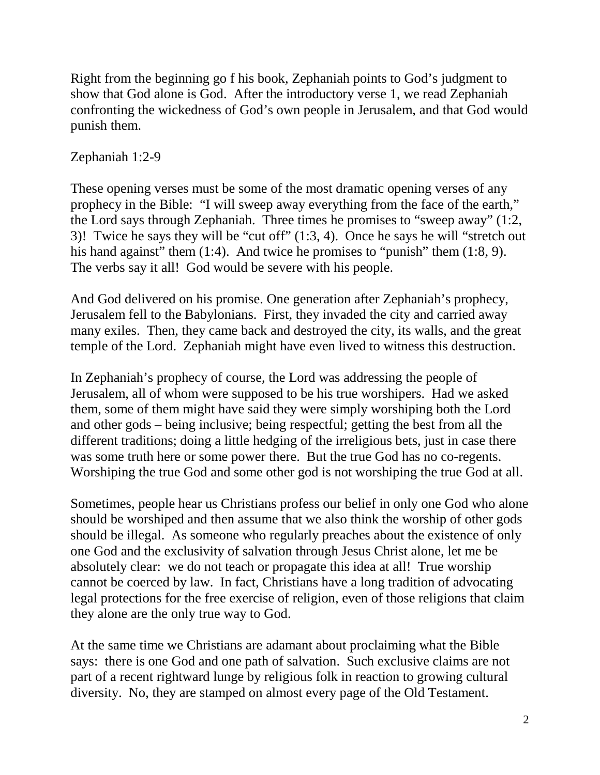Right from the beginning go f his book, Zephaniah points to God's judgment to show that God alone is God. After the introductory verse 1, we read Zephaniah confronting the wickedness of God's own people in Jerusalem, and that God would punish them.

Zephaniah 1:2-9

These opening verses must be some of the most dramatic opening verses of any prophecy in the Bible: "I will sweep away everything from the face of the earth," the Lord says through Zephaniah. Three times he promises to "sweep away" (1:2, 3)! Twice he says they will be "cut off" (1:3, 4). Once he says he will "stretch out his hand against" them (1:4). And twice he promises to "punish" them (1:8, 9). The verbs say it all! God would be severe with his people.

And God delivered on his promise. One generation after Zephaniah's prophecy, Jerusalem fell to the Babylonians. First, they invaded the city and carried away many exiles. Then, they came back and destroyed the city, its walls, and the great temple of the Lord. Zephaniah might have even lived to witness this destruction.

In Zephaniah's prophecy of course, the Lord was addressing the people of Jerusalem, all of whom were supposed to be his true worshipers. Had we asked them, some of them might have said they were simply worshiping both the Lord and other gods – being inclusive; being respectful; getting the best from all the different traditions; doing a little hedging of the irreligious bets, just in case there was some truth here or some power there. But the true God has no co-regents. Worshiping the true God and some other god is not worshiping the true God at all.

Sometimes, people hear us Christians profess our belief in only one God who alone should be worshiped and then assume that we also think the worship of other gods should be illegal. As someone who regularly preaches about the existence of only one God and the exclusivity of salvation through Jesus Christ alone, let me be absolutely clear: we do not teach or propagate this idea at all! True worship cannot be coerced by law. In fact, Christians have a long tradition of advocating legal protections for the free exercise of religion, even of those religions that claim they alone are the only true way to God.

At the same time we Christians are adamant about proclaiming what the Bible says: there is one God and one path of salvation. Such exclusive claims are not part of a recent rightward lunge by religious folk in reaction to growing cultural diversity. No, they are stamped on almost every page of the Old Testament.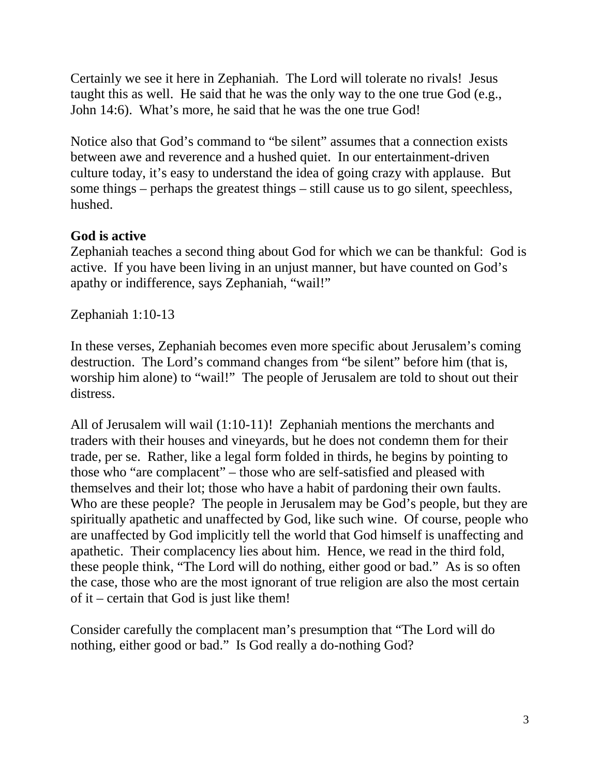Certainly we see it here in Zephaniah. The Lord will tolerate no rivals! Jesus taught this as well. He said that he was the only way to the one true God (e.g., John 14:6). What's more, he said that he was the one true God!

Notice also that God's command to "be silent" assumes that a connection exists between awe and reverence and a hushed quiet. In our entertainment-driven culture today, it's easy to understand the idea of going crazy with applause. But some things – perhaps the greatest things – still cause us to go silent, speechless, hushed.

### **God is active**

Zephaniah teaches a second thing about God for which we can be thankful: God is active. If you have been living in an unjust manner, but have counted on God's apathy or indifference, says Zephaniah, "wail!"

Zephaniah 1:10-13

In these verses, Zephaniah becomes even more specific about Jerusalem's coming destruction. The Lord's command changes from "be silent" before him (that is, worship him alone) to "wail!" The people of Jerusalem are told to shout out their distress.

All of Jerusalem will wail (1:10-11)! Zephaniah mentions the merchants and traders with their houses and vineyards, but he does not condemn them for their trade, per se. Rather, like a legal form folded in thirds, he begins by pointing to those who "are complacent" – those who are self-satisfied and pleased with themselves and their lot; those who have a habit of pardoning their own faults. Who are these people? The people in Jerusalem may be God's people, but they are spiritually apathetic and unaffected by God, like such wine. Of course, people who are unaffected by God implicitly tell the world that God himself is unaffecting and apathetic. Their complacency lies about him. Hence, we read in the third fold, these people think, "The Lord will do nothing, either good or bad." As is so often the case, those who are the most ignorant of true religion are also the most certain of it – certain that God is just like them!

Consider carefully the complacent man's presumption that "The Lord will do nothing, either good or bad." Is God really a do-nothing God?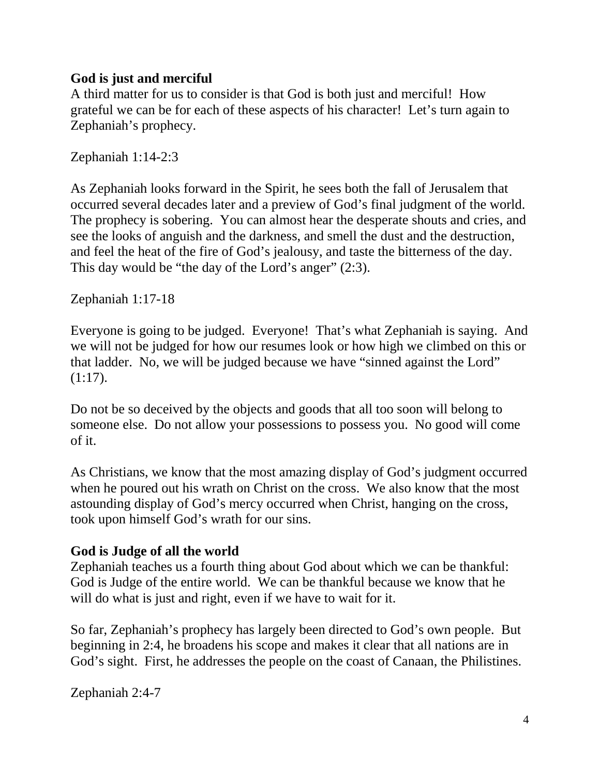#### **God is just and merciful**

A third matter for us to consider is that God is both just and merciful! How grateful we can be for each of these aspects of his character! Let's turn again to Zephaniah's prophecy.

Zephaniah 1:14-2:3

As Zephaniah looks forward in the Spirit, he sees both the fall of Jerusalem that occurred several decades later and a preview of God's final judgment of the world. The prophecy is sobering. You can almost hear the desperate shouts and cries, and see the looks of anguish and the darkness, and smell the dust and the destruction, and feel the heat of the fire of God's jealousy, and taste the bitterness of the day. This day would be "the day of the Lord's anger" (2:3).

Zephaniah 1:17-18

Everyone is going to be judged. Everyone! That's what Zephaniah is saying. And we will not be judged for how our resumes look or how high we climbed on this or that ladder. No, we will be judged because we have "sinned against the Lord"  $(1:17)$ .

Do not be so deceived by the objects and goods that all too soon will belong to someone else. Do not allow your possessions to possess you. No good will come of it.

As Christians, we know that the most amazing display of God's judgment occurred when he poured out his wrath on Christ on the cross. We also know that the most astounding display of God's mercy occurred when Christ, hanging on the cross, took upon himself God's wrath for our sins.

## **God is Judge of all the world**

Zephaniah teaches us a fourth thing about God about which we can be thankful: God is Judge of the entire world. We can be thankful because we know that he will do what is just and right, even if we have to wait for it.

So far, Zephaniah's prophecy has largely been directed to God's own people. But beginning in 2:4, he broadens his scope and makes it clear that all nations are in God's sight. First, he addresses the people on the coast of Canaan, the Philistines.

Zephaniah 2:4-7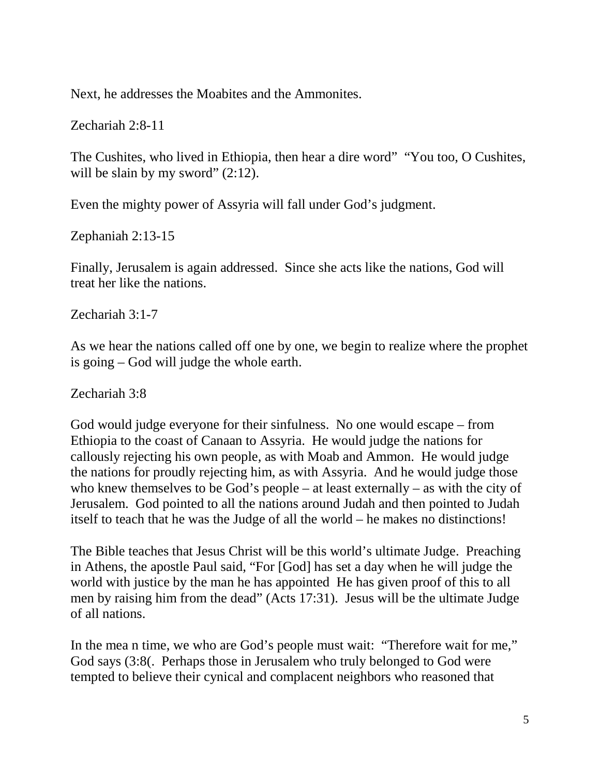Next, he addresses the Moabites and the Ammonites.

Zechariah 2:8-11

The Cushites, who lived in Ethiopia, then hear a dire word" "You too, O Cushites, will be slain by my sword"  $(2:12)$ .

Even the mighty power of Assyria will fall under God's judgment.

Zephaniah 2:13-15

Finally, Jerusalem is again addressed. Since she acts like the nations, God will treat her like the nations.

Zechariah 3:1-7

As we hear the nations called off one by one, we begin to realize where the prophet is going – God will judge the whole earth.

Zechariah 3:8

God would judge everyone for their sinfulness. No one would escape – from Ethiopia to the coast of Canaan to Assyria. He would judge the nations for callously rejecting his own people, as with Moab and Ammon. He would judge the nations for proudly rejecting him, as with Assyria. And he would judge those who knew themselves to be God's people – at least externally – as with the city of Jerusalem. God pointed to all the nations around Judah and then pointed to Judah itself to teach that he was the Judge of all the world – he makes no distinctions!

The Bible teaches that Jesus Christ will be this world's ultimate Judge. Preaching in Athens, the apostle Paul said, "For [God] has set a day when he will judge the world with justice by the man he has appointed He has given proof of this to all men by raising him from the dead" (Acts 17:31). Jesus will be the ultimate Judge of all nations.

In the mea n time, we who are God's people must wait: "Therefore wait for me," God says (3:8(. Perhaps those in Jerusalem who truly belonged to God were tempted to believe their cynical and complacent neighbors who reasoned that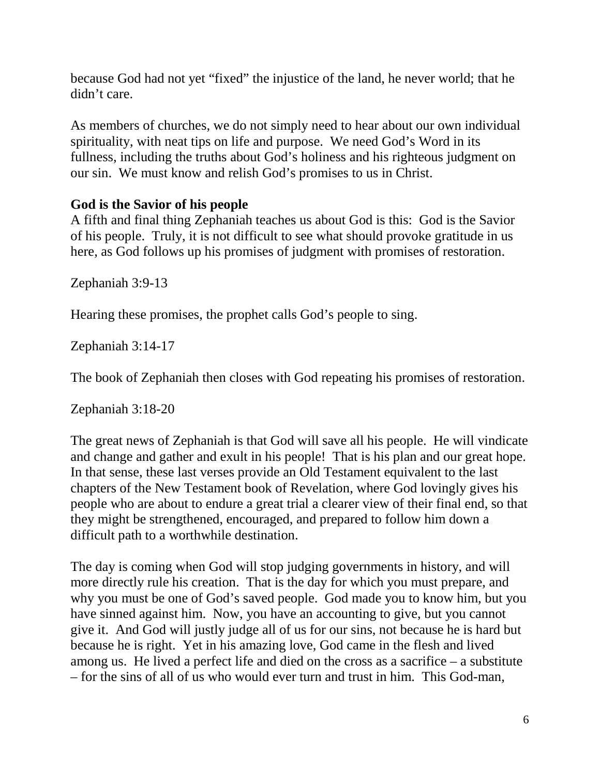because God had not yet "fixed" the injustice of the land, he never world; that he didn't care.

As members of churches, we do not simply need to hear about our own individual spirituality, with neat tips on life and purpose. We need God's Word in its fullness, including the truths about God's holiness and his righteous judgment on our sin. We must know and relish God's promises to us in Christ.

#### **God is the Savior of his people**

A fifth and final thing Zephaniah teaches us about God is this: God is the Savior of his people. Truly, it is not difficult to see what should provoke gratitude in us here, as God follows up his promises of judgment with promises of restoration.

Zephaniah 3:9-13

Hearing these promises, the prophet calls God's people to sing.

Zephaniah 3:14-17

The book of Zephaniah then closes with God repeating his promises of restoration.

Zephaniah 3:18-20

The great news of Zephaniah is that God will save all his people. He will vindicate and change and gather and exult in his people! That is his plan and our great hope. In that sense, these last verses provide an Old Testament equivalent to the last chapters of the New Testament book of Revelation, where God lovingly gives his people who are about to endure a great trial a clearer view of their final end, so that they might be strengthened, encouraged, and prepared to follow him down a difficult path to a worthwhile destination.

The day is coming when God will stop judging governments in history, and will more directly rule his creation. That is the day for which you must prepare, and why you must be one of God's saved people. God made you to know him, but you have sinned against him. Now, you have an accounting to give, but you cannot give it. And God will justly judge all of us for our sins, not because he is hard but because he is right. Yet in his amazing love, God came in the flesh and lived among us. He lived a perfect life and died on the cross as a sacrifice – a substitute – for the sins of all of us who would ever turn and trust in him. This God-man,